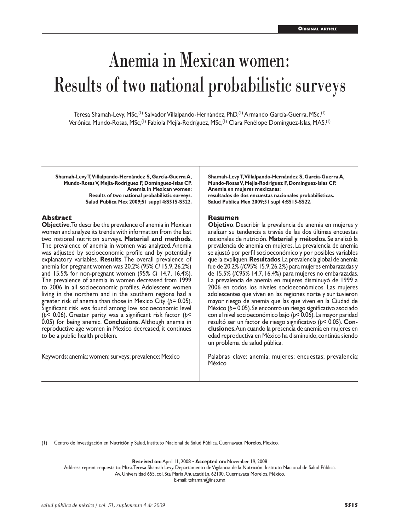# Anemia in Mexican women: Results of two national probabilistic surveys

Teresa Shamah-Levy, MSc,<sup>(1)</sup> Salvador Villalpando-Hernández, PhD,<sup>(1)</sup> Armando García-Guerra, MSc,<sup>(1)</sup> Verónica Mundo-Rosas, MSc,<sup>(1)</sup> Fabiola Mejía-Rodríguez, MSc,<sup>(1)</sup> Clara Penélope Domínguez-Islas, MAS.<sup>(1)</sup>

**Shamah-Levy T, Villalpando-Hernández S, García-Guerra A, Mundo-Rosas V, Mejía-Rodríguez F, Domínguez-Islas CP. Anemia in Mexican women: Results of two national probabilistic surveys. Salud Publica Mex 2009;51 suppl 4:S515-S522.**

#### **Abstract**

**Objective**. To describe the prevalence of anemia in Mexican women and analyze its trends with information from the last two national nutrition surveys. **Material and methods**. The prevalence of anemia in women was analyzed. Anemia was adjusted by socioeconomic profile and by potentially explanatory variables. **Results**. The overall prevalence of anemia for pregnant women was 20.2% (95% *CI* 15.9, 26.2%) and 15.5% for non-pregnant women (95% *CI* 14.7, 16.4%). The prevalence of anemia in women decreased from 1999 to 2006 in all socioeconomic profiles. Adolescent women living in the northern and in the southern regions had a greater risk of anemia than those in Mexico City (*p*= 0.05). Significant risk was found among low socioeconomic level (*p*< 0.06). Greater parity was a significant risk factor (*p*< 0.05) for being anemic. **Conclusions**. Although anemia in reproductive age women in Mexico decreased, it continues to be a public health problem.

Keywords: anemia; women; surveys; prevalence; Mexico

**Shamah-Levy T, Villalpando-Hernández S, García-Guerra A, Mundo-Rosas V, Mejía-Rodríguez F, Domínguez-Islas CP. Anemia en mujeres mexicanas: resultados de dos encuestas nacionales probabilísticas. Salud Publica Mex 2009;51 supl 4:S515-S522.**

#### **Resumen**

**Objetivo**. Describir la prevalencia de anemia en mujeres y analizar su tendencia a través de las dos últimas encuestas nacionales de nutrición. **Material y métodos**. Se analizó la prevalencia de anemia en mujeres. La prevalencia de anemia se ajustó por perfil socioeconómico y por posibles variables que la expliquen. **Resultados**. La prevalencia global de anemia fue de 20.2% (*IC*95% 15.9, 26.2%) para mujeres embarazadas y de 15.5% (*IC*95% 14.7, 16.4%) para mujeres no embarazadas. La prevalencia de anemia en mujeres disminuyó de 1999 a 2006 en todos los niveles socioeconómicos. Las mujeres adolescentes que viven en las regiones norte y sur tuvieron mayor riesgo de anemia que las que viven en la Ciudad de México (*p*= 0.05). Se encontró un riesgo significativo asociado con el nivel socioeconómico bajo (*p*< 0.06). La mayor paridad resultó ser un factor de riesgo significativo (*p*< 0.05). **Con clusiones**. Aun cuando la presencia de anemia en mujeres en edad reproductiva en México ha disminuido, continúa siendo un problema de salud pública.

Palabras clave: anemia; mujeres; encuestas; prevalencia; México

(1) Centro de Investigación en Nutrición y Salud, Instituto Nacional de Salud Pública. Cuernavaca, Morelos, México.

**Received on:** April 11, 2008 • **Accepted on:** November 19, 2008

Address reprint requests to: Mtra. Teresa Shamah Levy. Departamento de Vigilancia de la Nutrición. Instituto Nacional de Salud Pública.

Av. Universidad 655, col. Sta María Ahuacatitlán. 62100, Cuernavaca Morelos, México.

E-mail: tshamah@insp.mx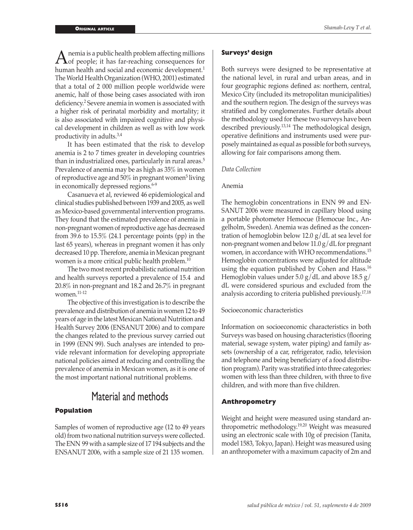A nemia is a public health problem affecting millions<br>both people; it has far-reaching consequences for<br>hymne health and secial and seconomic development 1 human health and social and economic development.<sup>1</sup> The World Health Organization (WHO, 2001) estimated that a total of 2 000 million people worldwide were anemic, half of those being cases associated with iron deficiency.<sup>2</sup> Severe anemia in women is associated with a higher risk of perinatal morbidity and mortality; it is also associated with impaired cognitive and physical development in children as well as with low work productivity in adults.3,4

It has been estimated that the risk to develop anemia is 2 to 7 times greater in developing countries than in industrialized ones, particularly in rural areas.<sup>5</sup> Prevalence of anemia may be as high as 35% in women of reproductive age and 50% in pregnant women<sup>5</sup> living in economically depressed regions.<sup>6-9</sup>

Casanueva et al, reviewed 46 epidemiological and clinical studies published between 1939 and 2005, as well as Mexico-based governmental intervention programs. They found that the estimated prevalence of anemia in non-pregnant women of reproductive age has decreased from 39.6 to 15.5% (24.1 percentage points (pp) in the last 65 years), whereas in pregnant women it has only decreased 10 pp. Therefore, anemia in Mexican pregnant women is a more critical public health problem.10

The two most recent probabilistic national nutrition and health surveys reported a prevalence of 15.4 and 20.8% in non-pregnant and 18.2 and 26.7% in pregnant women.11-12

The objective of this investigation is to describe the prevalence and distribution of anemia in women 12 to 49 years of age in the latest Mexican National Nutrition and Health Survey 2006 (ENSANUT 2006) and to compare the changes related to the previous survey carried out in 1999 (ENN 99). Such analyses are intended to provide relevant information for developing appropriate national policies aimed at reducing and controlling the prevalence of anemia in Mexican women, as it is one of the most important national nutritional problems.

# Material and methods

### **Population**

Samples of women of reproductive age (12 to 49 years old) from two national nutrition surveys were collected. The ENN 99 with a sample size of 17 194 subjects and the ENSANUT 2006, with a sample size of 21 135 women.

#### **Surveys' design**

Both surveys were designed to be representative at the national level, in rural and urban areas, and in four geographic regions defined as: northern, central, Mexico City (included its metropolitan municipalities) and the southern region. The design of the surveys was stratified and by conglomerates. Further details about the methodology used for these two surveys have been described previously.13,14 The methodological design, operative definitions and instruments used were purposely maintained as equal as possible for both surveys, allowing for fair comparisons among them.

#### *Data Collection*

#### Anemia

The hemoglobin concentrations in ENN 99 and EN-SANUT 2006 were measured in capillary blood using a portable photometer Hemocue (Hemocue Inc., Angelholm, Sweden). Anemia was defined as the concentration of hemoglobin below 12.0 g/dL at sea level for non-pregnant women and below 11.0 g/dL for pregnant women, in accordance with WHO recommendations.<sup>15</sup> Hemoglobin concentrations were adjusted for altitude using the equation published by Cohen and Hass.<sup>16</sup> Hemoglobin values under 5.0  $g/dL$  and above 18.5  $g/dL$ dL were considered spurious and excluded from the analysis according to criteria published previously.17,18

Socioeconomic characteristics

Information on socioeconomic characteristics in both Surveys was based on housing characteristics (flooring material, sewage system, water piping) and family assets (ownership of a car, refrigerator, radio, television and telephone and being beneficiary of a food distribution program). Parity was stratified into three categories: women with less than three children, with three to five children, and with more than five children.

#### **Anthropometry**

Weight and height were measured using standard anthropometric methodology.19,20 Weight was measured using an electronic scale with 10g of precision (Tanita, model 1583, Tokyo, Japan). Height was measured using an anthropometer with a maximum capacity of 2m and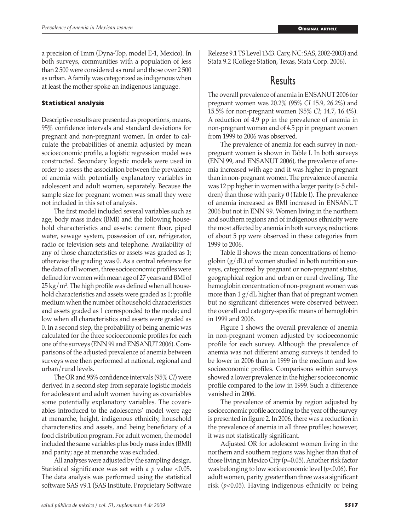a precision of 1mm (Dyna-Top, model E-1, Mexico). In both surveys, communities with a population of less than 2 500 were considered as rural and those over 2 500 as urban. A family was categorized as indigenous when at least the mother spoke an indigenous language.

## **Statistical analysis**

Descriptive results are presented as proportions, means, 95% confidence intervals and standard deviations for pregnant and non-pregnant women. In order to calculate the probabilities of anemia adjusted by mean socioeconomic profile, a logistic regression model was constructed. Secondary logistic models were used in order to assess the association between the prevalence of anemia with potentially explanatory variables in adolescent and adult women, separately. Because the sample size for pregnant women was small they were not included in this set of analysis.

The first model included several variables such as age, body mass index (BMI) and the following household characteristics and assets: cement floor, piped water, sewage system, possession of car, refrigerator, radio or television sets and telephone. Availability of any of those characteristics or assets was graded as 1; otherwise the grading was 0. As a central reference for the data of all women, three socioeconomic profiles were defined for women with mean age of 27 years and BMI of 25 kg/m2 . The high profile was defined when all household characteristics and assets were graded as 1; profile medium when the number of household characteristics and assets graded as 1 corresponded to the mode; and low when all characteristics and assets were graded as 0. In a second step, the probability of being anemic was calculated for the three socioeconomic profiles for each one of the surveys (ENN 99 and ENSANUT 2006). Comparisons of the adjusted prevalence of anemia between surveys were then performed at national, regional and urban/rural levels.

The OR and 95% confidence intervals (95% *CI*) were derived in a second step from separate logistic models for adolescent and adult women having as covariables some potentially explanatory variables. The covariables introduced to the adolescents' model were age at menarche, height, indigenous ethnicity, household characteristics and assets, and being beneficiary of a food distribution program. For adult women, the model included the same variables plus body mass index (BMI) and parity; age at menarche was excluded.

All analyses were adjusted by the sampling design. Statistical significance was set with a *p* value <0.05. The data analysis was performed using the statistical software SAS v9.1 (SAS Institute. Proprietary Software Release 9.1 TS Level 1M3. Cary, NC: SAS, 2002-2003) and Stata 9.2 (College Station, Texas, Stata Corp. 2006).

# Results

The overall prevalence of anemia in ENSANUT 2006 for pregnant women was 20.2% (95% *CI* 15.9, 26.2%) and 15.5% for non-pregnant women (95% *CI*; 14.7, 16.4%). A reduction of 4.9 pp in the prevalence of anemia in non-pregnant women and of 4.5 pp in pregnant women from 1999 to 2006 was observed.

The prevalence of anemia for each survey in nonpregnant women is shown in Table I. In both surveys (ENN 99, and ENSANUT 2006), the prevalence of anemia increased with age and it was higher in pregnant than in non-pregnant women. The prevalence of anemia was 12 pp higher in women with a larger parity  $(>5$  children) than those with parity 0 (Table I). The prevalence of anemia increased as BMI increased in ENSANUT 2006 but not in ENN 99. Women living in the northern and southern regions and of indigenous ethnicity were the most affected by anemia in both surveys; reductions of about 5 pp were observed in these categories from 1999 to 2006.

Table II shows the mean concentrations of hemoglobin  $(g/dL)$  of women studied in both nutrition surveys, categorized by pregnant or non-pregnant status, geographical region and urban or rural dwelling. The hemoglobin concentration of non-pregnant women was more than  $1 g/dL$  higher than that of pregnant women but no significant differences were observed between the overall and category-specific means of hemoglobin in 1999 and 2006.

Figure 1 shows the overall prevalence of anemia in non-pregnant women adjusted by socioeconomic profile for each survey. Although the prevalence of anemia was not different among surveys it tended to be lower in 2006 than in 1999 in the medium and low socioeconomic profiles. Comparisons within surveys showed a lower prevalence in the higher socioeconomic profile compared to the low in 1999. Such a difference vanished in 2006.

The prevalence of anemia by region adjusted by socioeconomic profile according to the year of the survey is presented in figure 2. In 2006, there was a reduction in the prevalence of anemia in all three profiles; however, it was not statistically significant.

Adjusted OR for adolescent women living in the northern and southern regions was higher than that of those living in Mexico City (*p*=0.05). Another risk factor was belonging to low socioeconomic level ( $p$ <0.06). For adult women, parity greater than three was a significant risk (*p*<0.05). Having indigenous ethnicity or being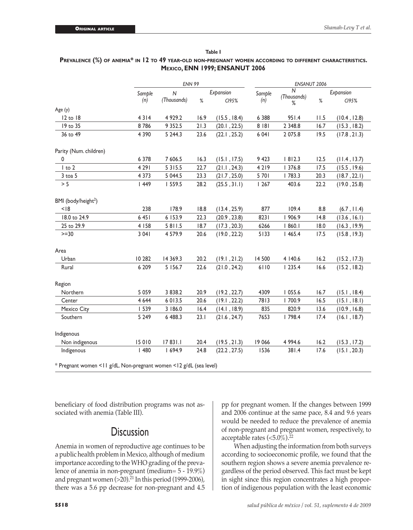## **Table I Prevalence (%) of anemia\* in 12 to 49 year-old non-pregnant women according to different characteristics. Mexico, ENN 1999; ENSANUT 2006**

|                                 |         | <b>ENN 99</b>  |           |              | ENSANUT 2006 |                             |      |              |  |
|---------------------------------|---------|----------------|-----------|--------------|--------------|-----------------------------|------|--------------|--|
|                                 | Sample  | $\overline{N}$ | Expansion |              | Sample       | $\mathsf{N}$<br>(Thousands) |      | Expansion    |  |
|                                 | (n)     | (Thousands)    | %         | C195%        | (n)          | ℅                           | %    | C195%        |  |
| Age $(y)$                       |         |                |           |              |              |                             |      |              |  |
| 12 to 18                        | 4314    | 4 9 29.2       | 16.9      | (15.5, 18.4) | 6 3 8 8      | 951.4                       | 11.5 | (10.4, 12.8) |  |
| 19 to 35                        | 8786    | 9 3 5 2.5      | 21.3      | (20.1, 22.5) | 8   8        | 2 3 4 8.8                   | 16.7 | (15.3, 18.2) |  |
| 36 to 49                        | 4 3 9 0 | 5 244.3        | 23.6      | (22.1, 25.2) | 6 0 4 1      | 2 075.8                     | 19.5 | (17.8, 21.3) |  |
| Parity (Num. children)          |         |                |           |              |              |                             |      |              |  |
| 0                               | 6 3 7 8 | 7 606.5        | 16.3      | (15.1, 17.5) | 9 4 23       | 1812.3                      | 12.5 | (11.4, 13.7) |  |
| $ $ to 2                        | 4 2 9 1 | 5 3 1 5 .5     | 22.7      | (21.1, 24.3) | 4219         | 376.8                       | 17.5 | (15.5, 19.6) |  |
| 3 toa 5                         | 4 3 7 3 | 5 044.5        | 23.3      | (21.7, 25.0) | 5 70 1       | 1783.3                      | 20.3 | (18.7, 22.1) |  |
| > 5                             | 1449    | 559.5          | 28.2      | (25.5, 31.1) | 1267         | 403.6                       | 22.2 | (19.0, 25.8) |  |
| BMI (body/height <sup>2</sup> ) |         |                |           |              |              |                             |      |              |  |
| < 18                            | 238     | 178.9          | 18.8      | (13.4, 25.9) | 877          | 109.4                       | 8.8  | (6.7, 11.4)  |  |
| 18.0 to 24.9                    | 6 45 1  | 6 153.9        | 22.3      | (20.9, 23.8) | 8231         | 906.9                       | 14.8 | (13.6, 16.1) |  |
| 25 to 29.9                      | 4 1 5 8 | 5 8 1 1.5      | 18.7      | (17.3, 20.3) | 6266         | 1860.1                      | 18.0 | (16.3, 19.9) |  |
| $>=30$                          | 3 04 1  | 4 5 7 9 . 9    | 20.6      | (19.0, 22.2) | 5133         | 1465.4                      | 17.5 | (15.8, 19.3) |  |
| Area                            |         |                |           |              |              |                             |      |              |  |
| Urban                           | 10 282  | 14 3 69.3      | 20.2      | (19.1, 21.2) | 14 500       | 4 140.6                     | 16.2 | (15.2, 17.3) |  |
| Rural                           | 6 209   | 5 156.7        | 22.6      | (21.0, 24.2) | 6110         | 1235.4                      | 16.6 | (15.2, 18.2) |  |
| Region                          |         |                |           |              |              |                             |      |              |  |
| Northern                        | 5 0 5 9 | 3 8 3 8 . 2    | 20.9      | (19.2, 22.7) | 4309         | 1055.6                      | 16.7 | (15.1, 18.4) |  |
| Center                          | 4 6 4 4 | 6013.5         | 20.6      | (19.1, 22.2) | 7813         | 700.9                       | 16.5 | (15.1, 18.1) |  |
| Mexico City                     | 539     | 3 186.0        | 16.4      | (14.1, 18.9) | 835          | 820.9                       | 13.6 | (10.9, 16.8) |  |
| Southern                        | 5 2 4 9 | 6 488.3        | 23.1      | (21.6, 24.7) | 7653         | 798.4                       | 17.4 | (16.1, 18.7) |  |
| Indigenous                      |         |                |           |              |              |                             |      |              |  |
| Non indigenous                  | 15 010  | 17831.1        | 20.4      | (19.5, 21.3) | 19 066       | 4 9 9 4.6                   | 16.2 | (15.3, 17.2) |  |
| Indigenous                      | 1480    | 694.9          | 24.8      | (22.2, 27.5) | 1536         | 381.4                       | 17.6 | (15.1, 20.3) |  |

\* Pregnant women <11 g/dL. Non-pregnant women <12 g/dL (sea level)

beneficiary of food distribution programs was not associated with anemia (Table III).

## **Discussion**

Anemia in women of reproductive age continues to be a public health problem in Mexico, although of medium importance according to the WHO grading of the prevalence of anemia in non-pregnant (medium= 5 - 19.9%) and pregnant women  $(>20)$ .<sup>21</sup> In this period (1999-2006), there was a 5.6 pp decrease for non-pregnant and 4.5 pp for pregnant women. If the changes between 1999 and 2006 continue at the same pace, 8.4 and 9.6 years would be needed to reduce the prevalence of anemia of non-pregnant and pregnant women, respectively, to acceptable rates  $(<5.0\%)$ .<sup>22</sup>

When adjusting the information from both surveys according to socioeconomic profile, we found that the southern region shows a severe anemia prevalence regardless of the period observed. This fact must be kept in sight since this region concentrates a high proportion of indigenous population with the least economic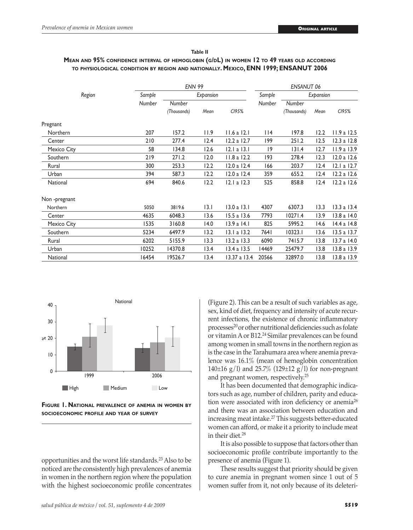| Table II                                                                                    |
|---------------------------------------------------------------------------------------------|
| MEAN AND 95% CONFIDENCE INTERVAL OF HEMOGLOBIN (G/DL) IN WOMEN 12 TO 49 YEARS OLD ACCORDING |
| TO PHYSIOLOGICAL CONDITION BY REGION AND NATIONALLY. MEXICO, ENN 1999; ENSANUT 2006         |

|              |               | <b>ENN 99</b> |      |                 |               |               | <b>ENSANUT 06</b> |             |  |  |
|--------------|---------------|---------------|------|-----------------|---------------|---------------|-------------------|-------------|--|--|
| Region       | Sample        | Expansion     |      |                 | Sample        | Expansion     |                   |             |  |  |
|              | <b>Number</b> | Number        |      |                 | <b>Number</b> | <b>Number</b> |                   |             |  |  |
|              |               | (Thousands)   | Mean | CI95%           |               | (Thousands)   | Mean              | CI95%       |  |  |
| Pregnant     |               |               |      |                 |               |               |                   |             |  |  |
| Northern     | 207           | 157.2         | 11.9 | $11.6$ a $12.1$ | $  \cdot  $   | 197.8         | 12.2              | 11.9 a 12.5 |  |  |
| Center       | 210           | 277.4         | 12.4 | 12.2 a 12.7     | 199           | 251.2         | 12.5              | 12.3 a 12.8 |  |  |
| Mexico City  | 58            | 134.8         | 12.6 | 12.1 a 13.1     | 9             | 131.4         | 12.7              | 11.9 a 13.9 |  |  |
| Southern     | 219           | 271.2         | 12.0 | 11.8 a 12.2     | 193           | 278.4         | 12.3              | 12.0 a 12.6 |  |  |
| Rural        | 300           | 253.3         | 12.2 | 12.0 a 12.4     | 166           | 203.7         | 12.4              | 12.1 a 12.7 |  |  |
| Urban        | 394           | 587.3         | 12.2 | 12.0 a 12.4     | 359           | 655.2         | 12.4              | 12.2 a 12.6 |  |  |
| National     | 694           | 840.6         | 12.2 | 12.1 a 12.3     | 525           | 858.8         | 12.4              | 12.2 a 12.6 |  |  |
| Non-pregnant |               |               |      |                 |               |               |                   |             |  |  |
| Northern     | 5050          | 3819.6        | 13.1 | 13.0 a 13.1     | 4307          | 6307.3        | 13.3              | 13.3 a 13.4 |  |  |
| Center       | 4635          | 6048.3        | 13.6 | 15.5 a 13.6     | 7793          | 10271.4       | 13.9              | 13.8 a 14.0 |  |  |
| Mexico City  | 1535          | 3160.8        | 14.0 | 13.9 a 14.1     | 825           | 5995.2        | 14.6              | 14.4 a 14.8 |  |  |
| Southern     | 5234          | 6497.9        | 13.2 | 13.1 a 13.2     | 7641          | 10323.1       | 13.6              | 13.5 a 13.7 |  |  |
| Rural        | 6202          | 5155.9        | 13.3 | 13.2 a 13.3     | 6090          | 7415.7        | 13.8              | 13.7 a 14.0 |  |  |
| Urban        | 10252         | 14370.8       | 13.4 | 13.4 a 13.5     | 14469         | 25479.7       | 13.8              | 13.8 a 13.9 |  |  |
| National     | 16454         | 19526.7       | 13.4 | 13.37 a 13.4    | 20566         | 32897.0       | 13.8              | 13.8 a 13.9 |  |  |





opportunities and the worst life standards.23 Also to be noticed are the consistently high prevalences of anemia in women in the northern region where the population with the highest socioeconomic profile concentrates

(Figure 2). This can be a result of such variables as age, sex, kind of diet, frequency and intensity of acute recurrent infections, the existence of chronic inflammatory processes<sup>20</sup> or other nutritional deficiencies such as folate or vitamin A or B12.24 Similar prevalences can be found among women in small towns in the northern region as is the case in the Tarahumara area where anemia prevalence was 16.1% (mean of hemoglobin concentration 140 $\pm$ 16 g/l) and 25.7% (129 $\pm$ 12 g/l) for non-pregnant and pregnant women, respectively.<sup>25</sup>

It has been documented that demographic indicators such as age, number of children, parity and education were associated with iron deficiency or anemia<sup>26</sup> and there was an association between education and increasing meat intake.27 This suggests better-educated women can afford, or make it a priority to include meat in their diet.<sup>28</sup>

It is also possible to suppose that factors other than socioeconomic profile contribute importantly to the presence of anemia (Figure 1).

These results suggest that priority should be given to cure anemia in pregnant women since 1 out of 5 women suffer from it, not only because of its deleteri-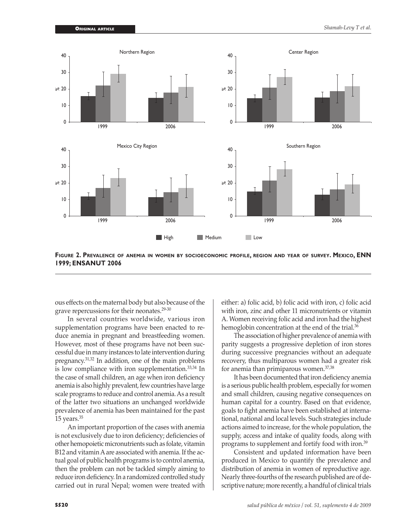

**Figure 2. Prevalence of anemia in women by socioeconomic profile, region and year of survey. Mexico, ENN 1999; ENSANUT 2006**

ous effects on the maternal body but also because of the grave repercussions for their neonates.29-30

In several countries worldwide, various iron supplementation programs have been enacted to reduce anemia in pregnant and breastfeeding women. However, most of these programs have not been successful due in many instances to late intervention during pregnancy.31,32 In addition, one of the main problems is low compliance with iron supplementation.<sup>33,34</sup> In the case of small children, an age when iron deficiency anemia is also highly prevalent, few countries have large scale programs to reduce and control anemia. As a result of the latter two situations an unchanged worldwide prevalence of anemia has been maintained for the past  $15$  years. $35$ 

An important proportion of the cases with anemia is not exclusively due to iron deficiency; deficiencies of other hemopoietic micronutrients such as folate, vitamin B12 and vitamin A are associated with anemia. If the actual goal of public health programs is to control anemia, then the problem can not be tackled simply aiming to reduce iron deficiency. In a randomized controlled study carried out in rural Nepal; women were treated with

either: a) folic acid, b) folic acid with iron, c) folic acid with iron, zinc and other 11 micronutrients or vitamin A. Women receiving folic acid and iron had the highest hemoglobin concentration at the end of the trial.<sup>36</sup>

The association of higher prevalence of anemia with parity suggests a progressive depletion of iron stores during successive pregnancies without an adequate recovery, thus multiparous women had a greater risk for anemia than primiparous women.37,38

It has been documented that iron deficiency anemia is a serious public health problem, especially for women and small children, causing negative consequences on human capital for a country. Based on that evidence, goals to fight anemia have been established at international, national and local levels. Such strategies include actions aimed to increase, for the whole population, the supply, access and intake of quality foods, along with programs to supplement and fortify food with iron.<sup>39</sup>

Consistent and updated information have been produced in Mexico to quantify the prevalence and distribution of anemia in women of reproductive age. Nearly three-fourths of the research published are of descriptive nature; more recently, a handful of clinical trials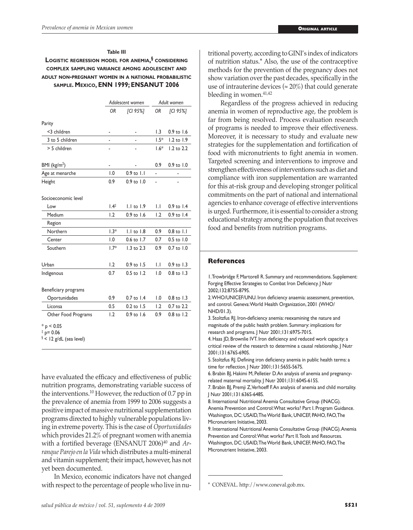#### **Table III**

**Logistic regression model for anemia, § considering complex sampling variance among adolescent and adult non-pregnant women in <sup>a</sup> national probabilistic sample. Mexico, ENN 1999; ENSANUT 2006**

|                                                                      |                  | Adolescent women | Adult women      |                |  |
|----------------------------------------------------------------------|------------------|------------------|------------------|----------------|--|
|                                                                      | <b>OR</b>        | [CI 95%]         | <b>OR</b>        | [CI 95%]       |  |
| Parity                                                               |                  |                  |                  |                |  |
| <3 children                                                          |                  |                  | $\overline{1.3}$ | 0.9 to 1.6     |  |
| 3 to 5 children                                                      |                  |                  | $1.5*$           | $1.2$ to $1.9$ |  |
| $> 5$ children                                                       |                  |                  | $1.6*$           | $1.2$ to $2.2$ |  |
| BMI ( $\text{kg/m}^2$ )                                              |                  |                  | 0.9              | 0.9 to 1.0     |  |
| Age at menarche                                                      | 1.0              | $0.9$ to $1.1$   |                  |                |  |
| Height                                                               | 0.9              | $0.9$ to $1.0$   |                  |                |  |
| Socioeconomic level                                                  |                  |                  |                  |                |  |
| Low                                                                  | $1.4^{\ddagger}$ | $1.1$ to $1.9$   | $\mathsf{L}$     | 0.9 to 1.4     |  |
| Medium                                                               | 1.2              | 0.9 to 1.6       | 1.2              | 0.9 to 1.4     |  |
| Region                                                               |                  |                  |                  |                |  |
| Northern                                                             | $1.3*$           | $I.I$ to $I.8$   | 0.9              | $0.8$ to $1.1$ |  |
| Center                                                               | 1.0              | 0.6 to 1.7       | 0.7              | $0.5$ to $1.0$ |  |
| Southern                                                             | $1.7*$           | 1.3 to 2.3       | 0.9              | 0.7 to 1.0     |  |
| Urban                                                                | 1.2              | 0.9 to 1.5       | $\mathsf{L}$     | $0.9$ to $1.3$ |  |
| Indigenous                                                           | 0.7              | $0.5$ to $1.2$   | 1.0              | $0.8$ to $1.3$ |  |
| Beneficiary programs                                                 |                  |                  |                  |                |  |
| Oportunidades                                                        | 0.9              | 0.7 to 1.4       | 1.0              | 0.8 to 1.3     |  |
| Liconsa                                                              | 0.5              | 0.2 to 1.5       | 1.2              | 0.7 to 2.2     |  |
| Other Food Programs                                                  | 1.2              | $0.9$ to 1.6     | 0.9              | $0.8$ to $1.2$ |  |
| $*_{p}$ < 0.05<br>$^{\ddagger}$ p= 0.06<br>$s$ < 12 g/dL (sea level) |                  |                  |                  |                |  |

have evaluated the efficacy and effectiveness of public nutrition programs, demonstrating variable success of the interventions.10 However, the reduction of 0.7 pp in the prevalence of anemia from 1999 to 2006 suggests a positive impact of massive nutritional supplementation programs directed to highly vulnerable populations living in extreme poverty. This is the case of *Oportunidades* which provides 21.2% of pregnant women with anemia with a fortified beverage (ENSANUT 2006)<sup>40</sup> and *Arranque Parejo en la Vida* which distributes a multi-mineral and vitamin supplement; their impact, however, has not yet been documented.

In Mexico, economic indicators have not changed with respect to the percentage of people who live in nutritional poverty, according to GINI's index of indicators of nutrition status.\* Also, the use of the contraceptive methods for the prevention of the pregnancy does not show variation over the past decades, specifically in the use of intrauterine devices ( $\approx 20\%$ ) that could generate bleeding in women.<sup>41,42</sup>

Regardless of the progress achieved in reducing anemia in women of reproductive age, the problem is far from being resolved. Process evaluation research of programs is needed to improve their effectiveness. Moreover, it is necessary to study and evaluate new strategies for the supplementation and fortification of food with micronutrients to fight anemia in women. Targeted screening and interventions to improve and strengthen effectiveness of interventions such as diet and compliance with iron supplementation are warranted for this at-risk group and developing stronger political commitments on the part of national and international agencies to enhance coverage of effective interventions is urged. Furthermore, it is essential to consider a strong educational strategy among the population that receives food and benefits from nutrition programs.

#### **References**

1. Trowbridge F, Martorell R. Summary and recommendations. Supplement: Forging Effective Strategies to Combat Iron Deficiency. J Nutr 2002;132:875S-879S.

2. WHO/UNICEF/UNU. Iron deficiency anaemia: assessment, prevention, and control. Geneva: World Health Organization, 2001 (WHO/ NHD/01.3).

3. Stoltzfus RJ. Iron-deficiency anemia: reexamining the nature and magnitude of the public health problem. Summary: implications for research and programs. J Nutr 2001;131:697S-701S.

4. Haas JD, Brownlie IVT. Iron deficiency and reduced work capacity: a critical review of the research to determine a causal relationship. J Nutr 2001;131:676S-690S.

5. Stoltzfus RJ. Defining iron deficiency anemia in public health terms: a time for reflection. J Nutr 2001;131:565S-567S.

6. Brabin BJ, Hakimi M, Pelletier D. An analysis of anemia and pregnancyrelated maternal mortality. J Nutr 2001;131:604S-615S.

7. Brabin BJ, Premji Z, Verhoeff F. An analysis of anemia and child mortality. J Nutr 2001;131:636S-648S.

8. International Nutritional Anemia Consultative Group (INACG). Anemia Prevention and Control: What works? Part I. Program Guidance. Washington, DC: USAID, The World Bank, UNICEF, PAHO, FAO, The Micronutrient Initiative, 2003.

9. International Nutritional Anemia Consultative Group (INACG). Anemia Prevention and Control: What works? Part II. Tools and Resources. Washington, DC: USAID, The World Bank, UNICEF, PAHO, FAO, The Micronutrient Initiative, 2003.

<sup>\*</sup> CONEVAL. http://www.coneval.gob.mx.